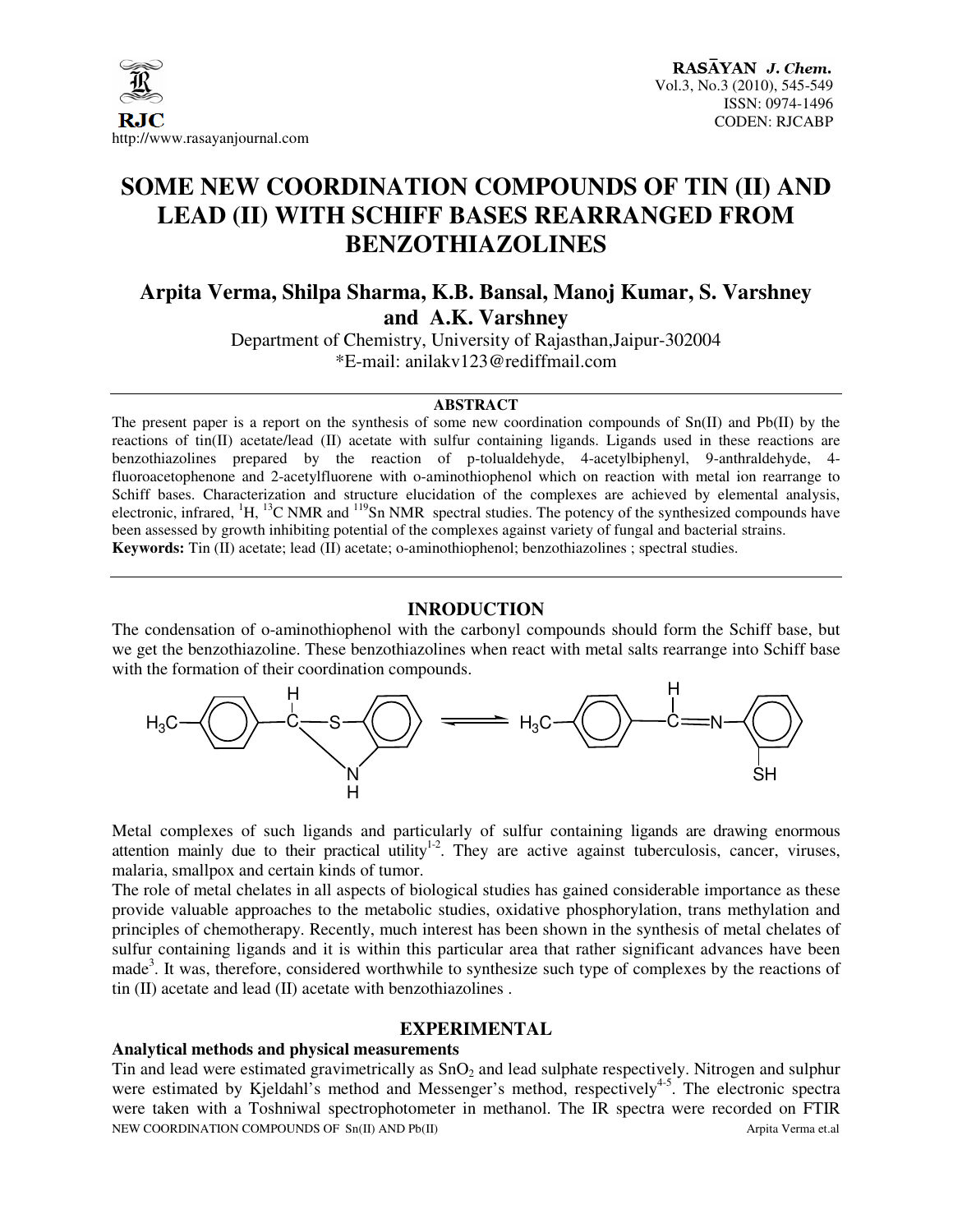

# **SOME NEW COORDINATION COMPOUNDS OF TIN (II) AND LEAD (II) WITH SCHIFF BASES REARRANGED FROM BENZOTHIAZOLINES**

# **Arpita Verma, Shilpa Sharma, K.B. Bansal, Manoj Kumar, S. Varshney and A.K. Varshney**

Department of Chemistry, University of Rajasthan,Jaipur-302004 \*E-mail: anilakv123@rediffmail.com

#### **ABSTRACT**

The present paper is a report on the synthesis of some new coordination compounds of Sn(II) and Pb(II) by the reactions of tin(II) acetate/lead (II) acetate with sulfur containing ligands. Ligands used in these reactions are benzothiazolines prepared by the reaction of p-tolualdehyde, 4-acetylbiphenyl, 9-anthraldehyde, 4 fluoroacetophenone and 2-acetylfluorene with o-aminothiophenol which on reaction with metal ion rearrange to Schiff bases. Characterization and structure elucidation of the complexes are achieved by elemental analysis, electronic, infrared, <sup>1</sup>H, <sup>13</sup>C NMR and <sup>119</sup>Sn NMR spectral studies. The potency of the synthesized compounds have been assessed by growth inhibiting potential of the complexes against variety of fungal and bacterial strains. **Keywords:** Tin (II) acetate; lead (II) acetate; o-aminothiophenol; benzothiazolines ; spectral studies.

#### **INRODUCTION**

The condensation of o-aminothiophenol with the carbonyl compounds should form the Schiff base, but we get the benzothiazoline. These benzothiazolines when react with metal salts rearrange into Schiff base with the formation of their coordination compounds.



Metal complexes of such ligands and particularly of sulfur containing ligands are drawing enormous attention mainly due to their practical utility<sup>1-2</sup>. They are active against tuberculosis, cancer, viruses, malaria, smallpox and certain kinds of tumor.

The role of metal chelates in all aspects of biological studies has gained considerable importance as these provide valuable approaches to the metabolic studies, oxidative phosphorylation, trans methylation and principles of chemotherapy. Recently, much interest has been shown in the synthesis of metal chelates of sulfur containing ligands and it is within this particular area that rather significant advances have been made<sup>3</sup>. It was, therefore, considered worthwhile to synthesize such type of complexes by the reactions of tin (II) acetate and lead (II) acetate with benzothiazolines .

#### **EXPERIMENTAL**

#### **Analytical methods and physical measurements**

NEW COORDINATION COMPOUNDS OF Sn(II) AND Pb(II) And Arpita Verma et.al Arpita Verma et.al Tin and lead were estimated gravimetrically as  $SnO<sub>2</sub>$  and lead sulphate respectively. Nitrogen and sulphur were estimated by Kjeldahl's method and Messenger's method, respectively<sup>4-5</sup>. The electronic spectra were taken with a Toshniwal spectrophotometer in methanol. The IR spectra were recorded on FTIR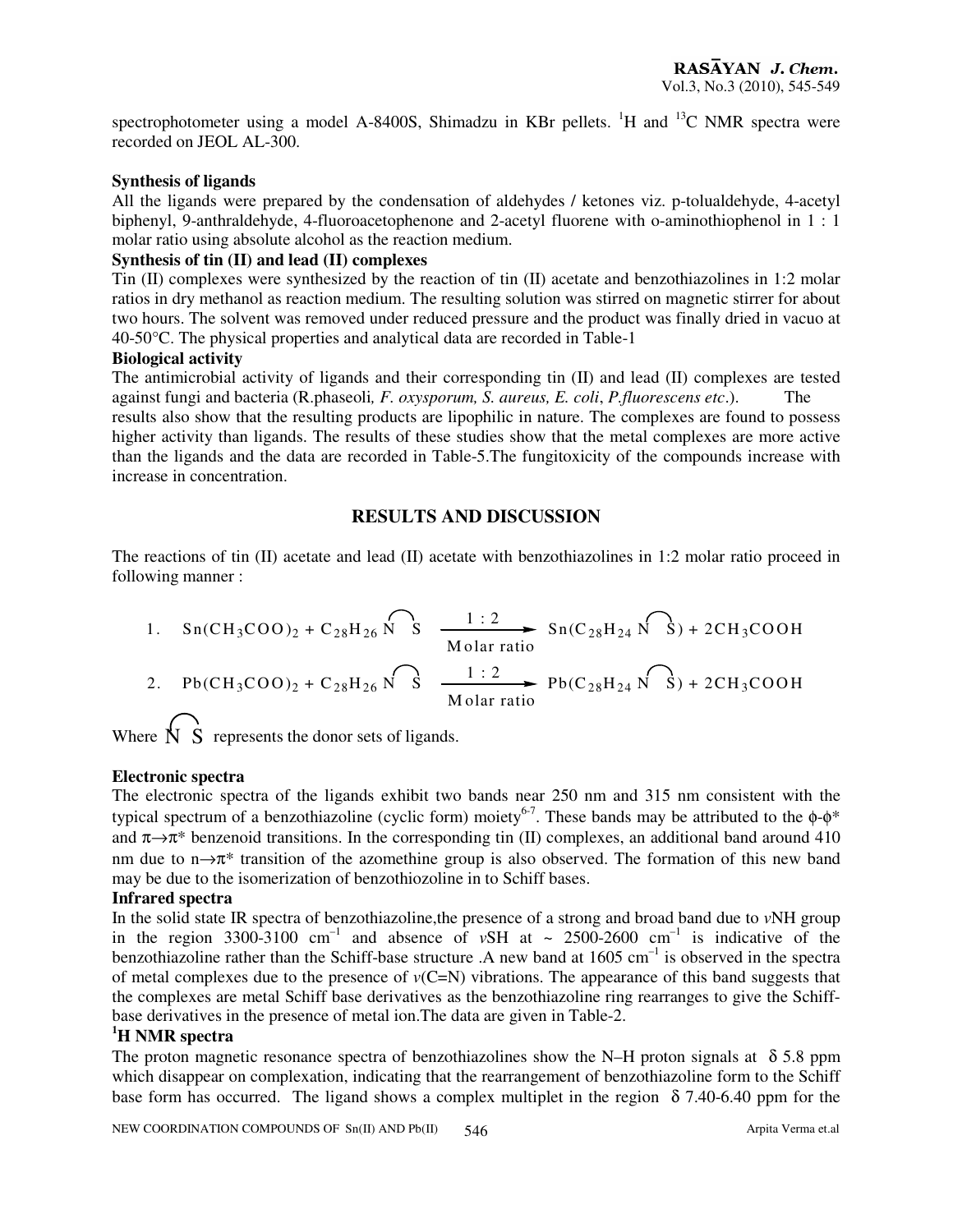spectrophotometer using a model A-8400S, Shimadzu in KBr pellets.  ${}^{1}H$  and  ${}^{13}C$  NMR spectra were recorded on JEOL AL-300.

#### **Synthesis of ligands**

All the ligands were prepared by the condensation of aldehydes / ketones viz. p-tolualdehyde, 4-acetyl biphenyl, 9-anthraldehyde, 4-fluoroacetophenone and 2-acetyl fluorene with o-aminothiophenol in 1 : 1 molar ratio using absolute alcohol as the reaction medium.

## **Synthesis of tin (II) and lead (II) complexes**

Tin (II) complexes were synthesized by the reaction of tin (II) acetate and benzothiazolines in 1:2 molar ratios in dry methanol as reaction medium. The resulting solution was stirred on magnetic stirrer for about two hours. The solvent was removed under reduced pressure and the product was finally dried in vacuo at 40-50°C. The physical properties and analytical data are recorded in Table-1

#### **Biological activity**

The antimicrobial activity of ligands and their corresponding tin (II) and lead (II) complexes are tested against fungi and bacteria (R.phaseoli*, F. oxysporum, S. aureus, E. coli*, *P.fluorescens etc*.). The results also show that the resulting products are lipophilic in nature. The complexes are found to possess higher activity than ligands. The results of these studies show that the metal complexes are more active

than the ligands and the data are recorded in Table-5.The fungitoxicity of the compounds increase with increase in concentration.

# **RESULTS AND DISCUSSION**

The reactions of tin (II) acetate and lead (II) acetate with benzothiazolines in 1:2 molar ratio proceed in following manner :

1. Sn(CH<sub>3</sub>COO)<sub>2</sub> + C<sub>28</sub>H<sub>26</sub> 
$$
\overbrace{S}
$$
  $\frac{1:2}{\text{Molar ratio}}$  Sn(C<sub>28</sub>H<sub>24</sub>  $\overbrace{N}$ ) + 2CH<sub>3</sub>COOH  
2. Pb(CH<sub>3</sub>COO)<sub>2</sub> + C<sub>28</sub>H<sub>26</sub>  $\overbrace{S}$   $\frac{1:2}{\text{Molar ratio}}$  Pb(C<sub>28</sub>H<sub>24</sub>  $\overbrace{N}$ ) + 2CH<sub>3</sub>COOH

Where  $\overrightarrow{N}$  S represents the donor sets of ligands.

# **Electronic spectra**

The electronic spectra of the ligands exhibit two bands near 250 nm and 315 nm consistent with the typical spectrum of a benzothiazoline (cyclic form) moiety<sup>6-7</sup>. These bands may be attributed to the  $\phi$ - $\phi^*$ and  $\pi \rightarrow \pi^*$  benzenoid transitions. In the corresponding tin (II) complexes, an additional band around 410 nm due to n→π<sup>\*</sup> transition of the azomethine group is also observed. The formation of this new band may be due to the isomerization of benzothiozoline in to Schiff bases.

# **Infrared spectra**

In the solid state IR spectra of benzothiazoline,the presence of a strong and broad band due to *v*NH group in the region  $3300-3100$  cm<sup>-1</sup> and absence of *vSH* at ~  $2500-2600$  cm<sup>-1</sup> is indicative of the benzothiazoline rather than the Schiff-base structure .A new band at  $1605 \text{ cm}^{-1}$  is observed in the spectra of metal complexes due to the presence of  $v(C=N)$  vibrations. The appearance of this band suggests that the complexes are metal Schiff base derivatives as the benzothiazoline ring rearranges to give the Schiffbase derivatives in the presence of metal ion.The data are given in Table-2.

# **<sup>1</sup>H NMR spectra**

The proton magnetic resonance spectra of benzothiazolines show the N–H proton signals at  $\delta$  5.8 ppm which disappear on complexation, indicating that the rearrangement of benzothiazoline form to the Schiff base form has occurred. The ligand shows a complex multiplet in the region  $\delta$  7.40-6.40 ppm for the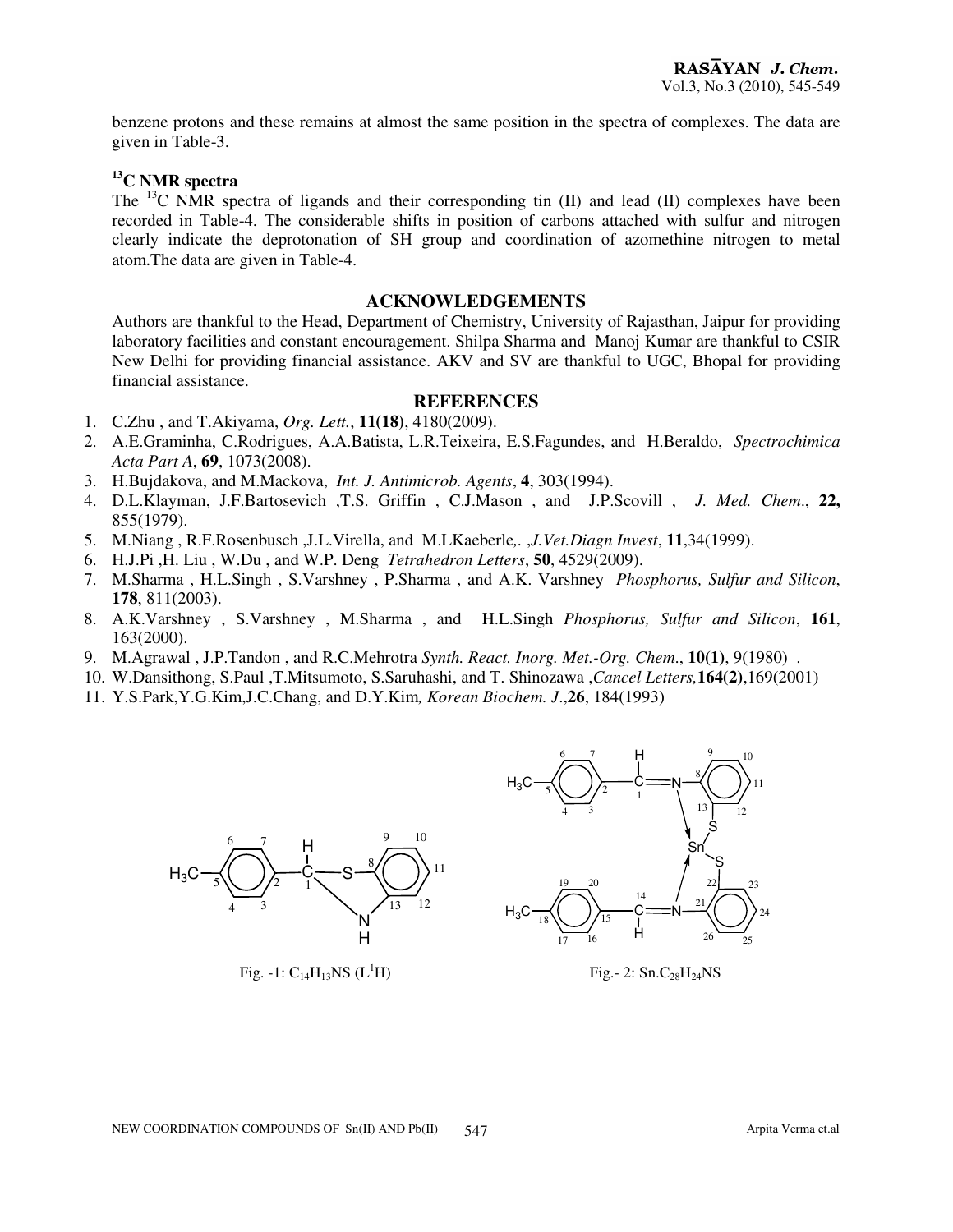benzene protons and these remains at almost the same position in the spectra of complexes. The data are given in Table-3.

# **<sup>13</sup>C NMR spectra**

The <sup>13</sup>C NMR spectra of ligands and their corresponding tin (II) and lead (II) complexes have been recorded in Table-4. The considerable shifts in position of carbons attached with sulfur and nitrogen clearly indicate the deprotonation of SH group and coordination of azomethine nitrogen to metal atom.The data are given in Table-4.

# **ACKNOWLEDGEMENTS**

Authors are thankful to the Head, Department of Chemistry, University of Rajasthan, Jaipur for providing laboratory facilities and constant encouragement. Shilpa Sharma and Manoj Kumar are thankful to CSIR New Delhi for providing financial assistance. AKV and SV are thankful to UGC, Bhopal for providing financial assistance.

#### **REFERENCES**

- 1. C.Zhu , and T.Akiyama, *Org. Lett.*, **11(18)**, 4180(2009).
- 2. A.E.Graminha, C.Rodrigues, A.A.Batista, L.R.Teixeira, E.S.Fagundes, and H.Beraldo, *Spectrochimica Acta Part A*, **69**, 1073(2008).
- 3. H.Bujdakova, and M.Mackova, *Int. J. Antimicrob. Agents*, **4**, 303(1994).
- 4. D.L.Klayman, J.F.Bartosevich ,T.S. Griffin , C.J.Mason , and J.P.Scovill , *J. Med. Chem*., **22,** 855(1979).
- 5. M.Niang , R.F.Rosenbusch ,J.L.Virella, and M.LKaeberle*,.* ,*J.Vet.Diagn Invest*, **11**,34(1999).
- 6. H.J.Pi ,H. Liu , W.Du , and W.P. Deng *Tetrahedron Letters*, **50**, 4529(2009).
- 7. M.Sharma , H.L.Singh , S.Varshney , P.Sharma , and A.K. Varshney *Phosphorus, Sulfur and Silicon*, **178**, 811(2003).
- 8. A.K.Varshney , S.Varshney , M.Sharma , and H.L.Singh *Phosphorus, Sulfur and Silicon*, **161**, 163(2000).
- 9. M.Agrawal , J.P.Tandon , and R.C.Mehrotra *Synth. React. Inorg. Met.-Org. Chem*., **10(1)**, 9(1980) .
- 10. W.Dansithong, S.Paul ,T.Mitsumoto, S.Saruhashi, and T. Shinozawa ,*Cancel Letters,***164(2)**,169(2001)
- 11. Y.S.Park,Y.G.Kim,J.C.Chang, and D.Y.Kim*, Korean Biochem. J*.,**26**, 184(1993)



Fig. -1:  $C_{14}H_{13}NS$  (L<sup>1</sup>H) Fig. -2: Sn.C<sub>28</sub>H<sub>24</sub>NS

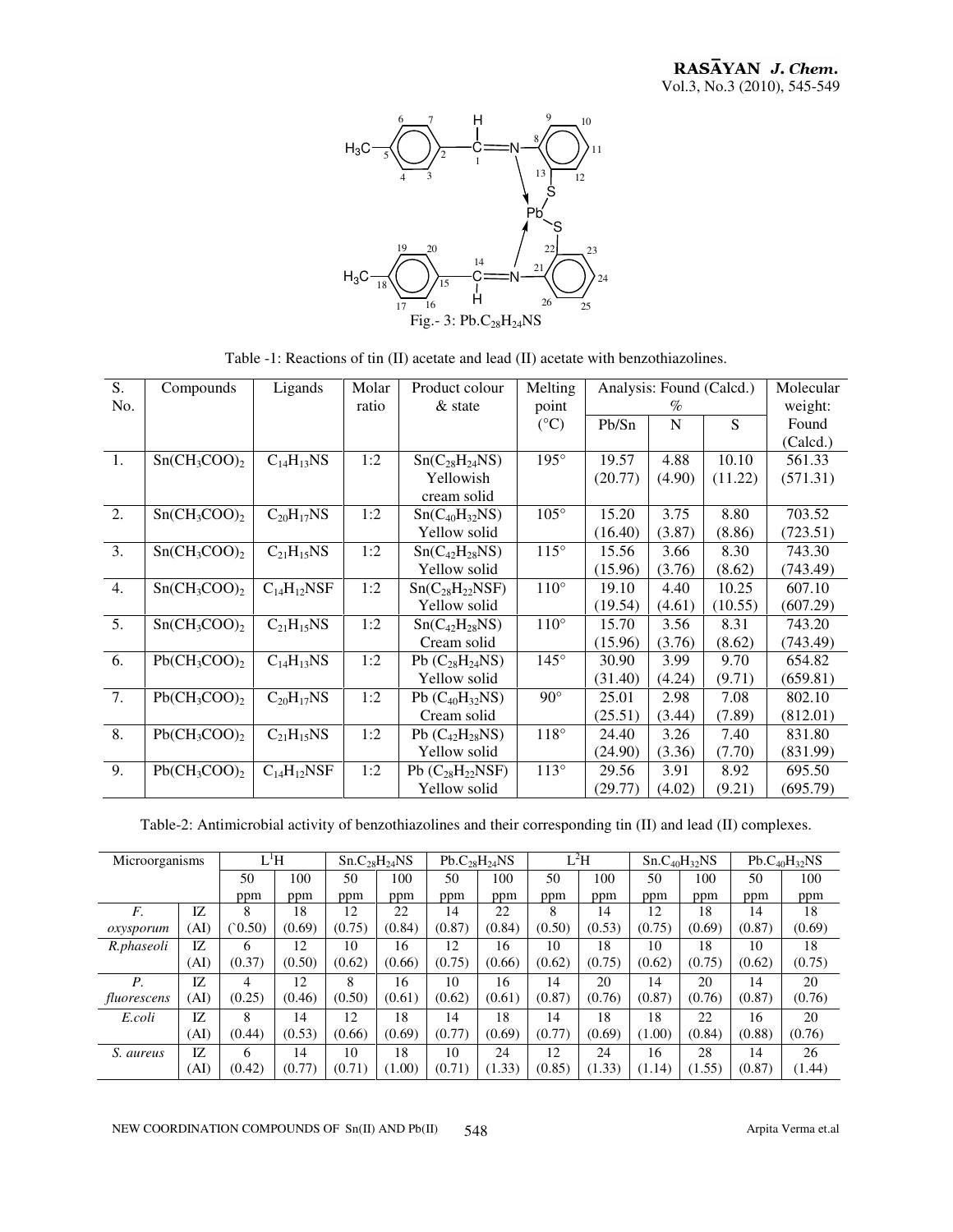

Table -1: Reactions of tin (II) acetate and lead (II) acetate with benzothiazolines.

| S.<br>No.        | Compounds       | Ligands           | Molar<br>ratio | Product colour<br>$&$ state            | Melting<br>point | Analysis: Found (Calcd.)<br>$\%$ |        |         | Molecular<br>weight: |
|------------------|-----------------|-------------------|----------------|----------------------------------------|------------------|----------------------------------|--------|---------|----------------------|
|                  |                 |                   |                |                                        | $({}^{\circ}C)$  | Pb/Sn                            | N      | S       | Found                |
|                  |                 |                   |                |                                        |                  |                                  |        |         | (Calcd.)             |
| 1.               | $Sn(CH_3COO)_2$ | $C_{14}H_{13}NS$  | 1:2            | $Sn(C_{28}H_{24}NS)$                   | 195°             | 19.57                            | 4.88   | 10.10   | 561.33               |
|                  |                 |                   |                | Yellowish                              |                  | (20.77)                          | (4.90) | (11.22) | (571.31)             |
|                  |                 |                   |                | cream solid                            |                  |                                  |        |         |                      |
| 2.               | $Sn(CH_3COO)_2$ | $C_{20}H_{17}NS$  | 1:2            | $Sn(C_{40}H_{32}NS)$                   | $105^\circ$      | 15.20                            | 3.75   | 8.80    | 703.52               |
|                  |                 |                   |                | Yellow solid                           |                  | (16.40)                          | (3.87) | (8.86)  | (723.51)             |
| 3.               | $Sn(CH_3COO)_2$ | $C_{21}H_{15}NS$  | 1:2            | $Sn(C_{42}H_{28}NS)$                   | $115^\circ$      | 15.56                            | 3.66   | 8.30    | 743.30               |
|                  |                 |                   |                | Yellow solid                           |                  | (15.96)                          | (3.76) | (8.62)  | (743.49)             |
| 4.               | $Sn(CH_3COO)_2$ | $C_{14}H_{12}NSF$ | 1:2            | $Sn(C_{28}H_{22}NSF)$                  | $110^\circ$      | 19.10                            | 4.40   | 10.25   | 607.10               |
|                  |                 |                   |                | Yellow solid                           |                  | (19.54)                          | (4.61) | (10.55) | (607.29)             |
| 5.               | $Sn(CH_3COO)$   | $C_{21}H_{15}NS$  | 1:2            | Sn(C <sub>42</sub> H <sub>28</sub> NS) | $110^{\circ}$    | 15.70                            | 3.56   | 8.31    | 743.20               |
|                  |                 |                   |                | Cream solid                            |                  | (15.96)                          | (3.76) | (8.62)  | (743.49)             |
| 6.               | $Pb(CH_3COO)_2$ | $C_{14}H_{13}NS$  | 1:2            | Pb $(C_{28}H_{24}NS)$                  | $145^\circ$      | 30.90                            | 3.99   | 9.70    | 654.82               |
|                  |                 |                   |                | Yellow solid                           |                  | (31.40)                          | (4.24) | (9.71)  | (659.81)             |
| $\overline{7}$ . | $Pb(CH_3COO)$   | $C_{20}H_{17}NS$  | 1:2            | Pb $(C_{40}H_{32}NS)$                  | $90^{\circ}$     | 25.01                            | 2.98   | 7.08    | 802.10               |
|                  |                 |                   |                | Cream solid                            |                  | (25.51)                          | (3.44) | (7.89)  | (812.01)             |
| 8.               | $Pb(CH_3COO)$   | $C_{21}H_{15}NS$  | 1:2            | Pb $(C_{42}H_{28}NS)$                  | $118^\circ$      | 24.40                            | 3.26   | 7.40    | 831.80               |
|                  |                 |                   |                | Yellow solid                           |                  | (24.90)                          | (3.36) | (7.70)  | (831.99)             |
| 9.               | $Pb(CH_3COO)_2$ | $C_{14}H_{12}NSF$ | 1:2            | Pb $(C_{28}H_{22}NSF)$                 | 113°             | 29.56                            | 3.91   | 8.92    | 695.50               |
|                  |                 |                   |                | Yellow solid                           |                  | (29.77)                          | (4.02) | (9.21)  | (695.79)             |

Table-2: Antimicrobial activity of benzothiazolines and their corresponding tin (II) and lead (II) complexes.

| Microorganisms |      | L <sup>1</sup> H |        | Sn.C <sub>28</sub> H <sub>24</sub> NS |        | Pb.C <sub>28</sub> H <sub>24</sub> NS |        | $L^2H$ |        | $Sn.C_{40}H_{32}NS$ |        | $Pb.C_{40}H_{32}NS$ |        |
|----------------|------|------------------|--------|---------------------------------------|--------|---------------------------------------|--------|--------|--------|---------------------|--------|---------------------|--------|
|                |      | 50               | 100    | 50                                    | 100    | 50                                    | 100    | 50     | 100    | 50                  | 100    | 50                  | 100    |
|                |      | ppm              | ppm    | ppm                                   | ppm    | ppm                                   | ppm    | ppm    | ppm    | ppm                 | ppm    | ppm                 | ppm    |
| F.             | IZ.  | 8                | 18     | 12                                    | 22     | 14                                    | 22     | 8      | 14     | 12                  | 18     | 14                  | 18     |
| oxysporum      | (AI) | (0.50)           | (0.69) | (0.75)                                | (0.84) | (0.87)                                | (0.84) | (0.50) | (0.53) | (0.75)              | (0.69) | (0.87)              | (0.69) |
| R.phaseoli     | IZ.  | 6                | 12     | 10                                    | 16     | 12                                    | 16     | 10     | 18     | 10                  | 18     | 10                  | 18     |
|                | (AF  | (0.37)           | (0.50) | (0.62)                                | (0.66) | (0.75)                                | (0.66) | (0.62) | (0.75) | (0.62)              | (0.75) | (0.62)              | (0.75) |
| Р.             | IZ.  | 4                | 12     | 8                                     | 16     | 10                                    | 16     | 14     | 20     | 14                  | 20     | 14                  | 20     |
| fluorescens    | (AI) | (0.25)           | (0.46) | (0.50)                                | (0.61) | (0.62)                                | (0.61) | (0.87) | (0.76) | (0.87)              | (0.76) | (0.87)              | (0.76) |
| E.coli         | IZ   | 8                | 14     | 12                                    | 18     | 14                                    | 18     | 14     | 18     | 18                  | 22     | 16                  | 20     |
|                | (AI) | (0.44)           | (0.53) | (0.66)                                | (0.69) | (0.77)                                | (0.69) | (0.77) | (0.69) | (1.00)              | (0.84) | (0.88)              | (0.76) |
| S. aureus      | IZ.  | 6                | 14     | 10                                    | 18     | 10                                    | 24     | 12     | 24     | 16                  | 28     | 14                  | 26     |
|                | (AI) | (0.42)           | (0.77) | (0.71)                                | (1.00) | (0.71)                                | (1.33) | (0.85) | (1.33) | (1.14)              | (1.55) | (0.87)              | (1.44) |